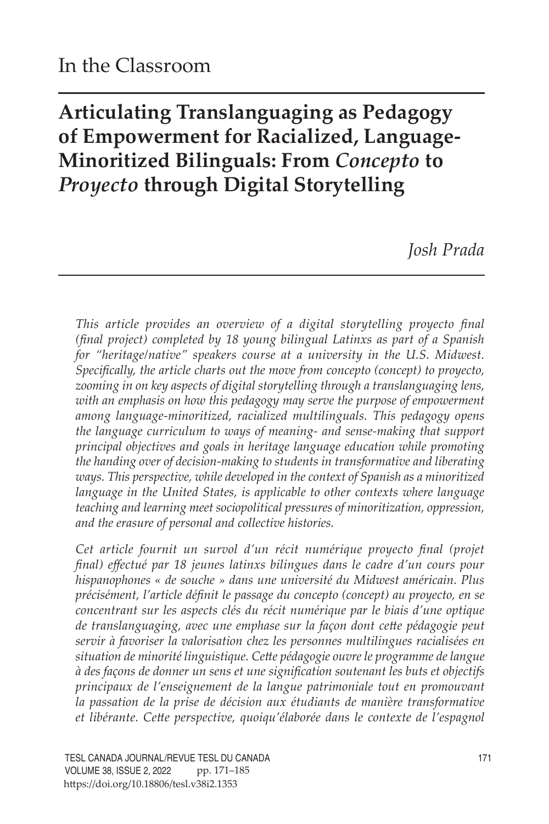# **Articulating Translanguaging as Pedagogy of Empowerment for Racialized, Language-Minoritized Bilinguals: From** *Concepto* **to**  *Proyecto* **through Digital Storytelling**

*Josh Prada*

*This article provides an overview of a digital storytelling proyecto final (final project) completed by 18 young bilingual Latinxs as part of a Spanish for "heritage/native" speakers course at a university in the U.S. Midwest. Specifically, the article charts out the move from concepto (concept) to proyecto, zooming in on key aspects of digital storytelling through a translanguaging lens, with an emphasis on how this pedagogy may serve the purpose of empowerment among language-minoritized, racialized multilinguals. This pedagogy opens the language curriculum to ways of meaning- and sense-making that support principal objectives and goals in heritage language education while promoting the handing over of decision-making to students in transformative and liberating ways. This perspective, while developed in the context of Spanish as a minoritized language in the United States, is applicable to other contexts where language teaching and learning meet sociopolitical pressures of minoritization, oppression, and the erasure of personal and collective histories.* 

*Cet article fournit un survol d'un récit numérique proyecto final (projet final) effectué par 18 jeunes latinxs bilingues dans le cadre d'un cours pour hispanophones « de souche » dans une université du Midwest américain. Plus précisément, l'article définit le passage du concepto (concept) au proyecto, en se concentrant sur les aspects clés du récit numérique par le biais d'une optique de translanguaging, avec une emphase sur la façon dont cette pédagogie peut servir à favoriser la valorisation chez les personnes multilingues racialisées en situation de minorité linguistique. Cette pédagogie ouvre le programme de langue à des façons de donner un sens et une signification soutenant les buts et objectifs principaux de l'enseignement de la langue patrimoniale tout en promouvant la passation de la prise de décision aux étudiants de manière transformative et libérante. Cette perspective, quoiqu'élaborée dans le contexte de l'espagnol*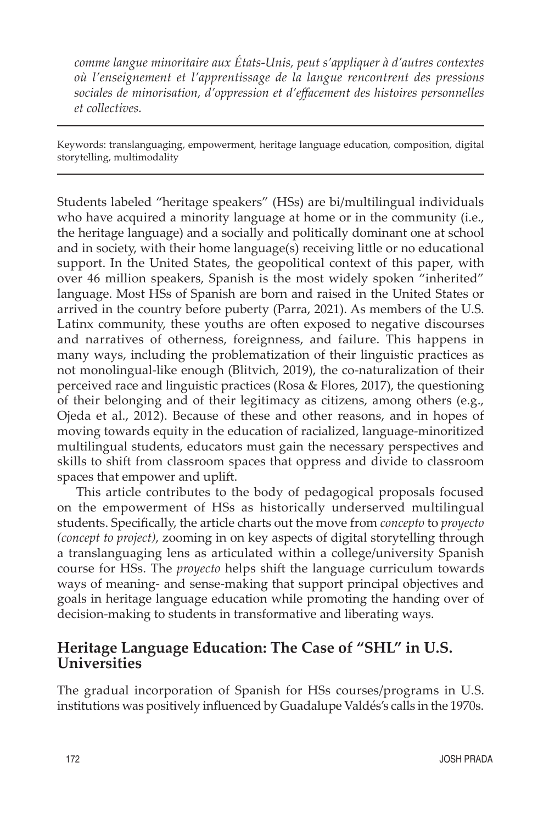*comme langue minoritaire aux États-Unis, peut s'appliquer à d'autres contextes où l'enseignement et l'apprentissage de la langue rencontrent des pressions sociales de minorisation, d'oppression et d'effacement des histoires personnelles et collectives.* 

Keywords: translanguaging, empowerment, heritage language education, composition, digital storytelling, multimodality

Students labeled "heritage speakers" (HSs) are bi/multilingual individuals who have acquired a minority language at home or in the community (i.e., the heritage language) and a socially and politically dominant one at school and in society, with their home language(s) receiving little or no educational support. In the United States, the geopolitical context of this paper, with over 46 million speakers, Spanish is the most widely spoken "inherited" language. Most HSs of Spanish are born and raised in the United States or arrived in the country before puberty (Parra, 2021). As members of the U.S. Latinx community, these youths are often exposed to negative discourses and narratives of otherness, foreignness, and failure. This happens in many ways, including the problematization of their linguistic practices as not monolingual-like enough (Blitvich, 2019), the co-naturalization of their perceived race and linguistic practices (Rosa & Flores, 2017), the questioning of their belonging and of their legitimacy as citizens, among others (e.g., Ojeda et al., 2012). Because of these and other reasons, and in hopes of moving towards equity in the education of racialized, language-minoritized multilingual students, educators must gain the necessary perspectives and skills to shift from classroom spaces that oppress and divide to classroom spaces that empower and uplift.

This article contributes to the body of pedagogical proposals focused on the empowerment of HSs as historically underserved multilingual students. Specifically, the article charts out the move from *concepto* to *proyecto (concept to project)*, zooming in on key aspects of digital storytelling through a translanguaging lens as articulated within a college/university Spanish course for HSs. The *proyecto* helps shift the language curriculum towards ways of meaning- and sense-making that support principal objectives and goals in heritage language education while promoting the handing over of decision-making to students in transformative and liberating ways.

### **Heritage Language Education: The Case of "SHL" in U.S. Universities**

The gradual incorporation of Spanish for HSs courses/programs in U.S. institutions was positively influenced by Guadalupe Valdés's calls in the 1970s.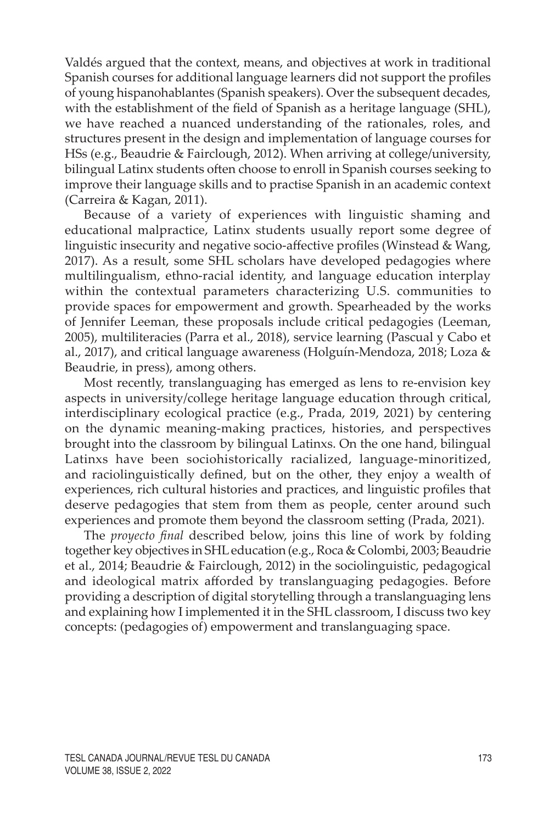Valdés argued that the context, means, and objectives at work in traditional Spanish courses for additional language learners did not support the profiles of young hispanohablantes (Spanish speakers). Over the subsequent decades, with the establishment of the field of Spanish as a heritage language (SHL), we have reached a nuanced understanding of the rationales, roles, and structures present in the design and implementation of language courses for HSs (e.g., Beaudrie & Fairclough, 2012). When arriving at college/university, bilingual Latinx students often choose to enroll in Spanish courses seeking to improve their language skills and to practise Spanish in an academic context (Carreira & Kagan, 2011).

Because of a variety of experiences with linguistic shaming and educational malpractice, Latinx students usually report some degree of linguistic insecurity and negative socio-affective profiles (Winstead & Wang, 2017). As a result, some SHL scholars have developed pedagogies where multilingualism, ethno-racial identity, and language education interplay within the contextual parameters characterizing U.S. communities to provide spaces for empowerment and growth. Spearheaded by the works of Jennifer Leeman, these proposals include critical pedagogies (Leeman, 2005), multiliteracies (Parra et al., 2018), service learning (Pascual y Cabo et al., 2017), and critical language awareness (Holguín-Mendoza, 2018; Loza & Beaudrie, in press), among others.

Most recently, translanguaging has emerged as lens to re-envision key aspects in university/college heritage language education through critical, interdisciplinary ecological practice (e.g., Prada, 2019, 2021) by centering on the dynamic meaning-making practices, histories, and perspectives brought into the classroom by bilingual Latinxs. On the one hand, bilingual Latinxs have been sociohistorically racialized, language-minoritized, and raciolinguistically defined, but on the other, they enjoy a wealth of experiences, rich cultural histories and practices, and linguistic profiles that deserve pedagogies that stem from them as people, center around such experiences and promote them beyond the classroom setting (Prada, 2021).

The *proyecto final* described below, joins this line of work by folding together key objectives in SHL education (e.g., Roca & Colombi, 2003; Beaudrie et al., 2014; Beaudrie & Fairclough, 2012) in the sociolinguistic, pedagogical and ideological matrix afforded by translanguaging pedagogies. Before providing a description of digital storytelling through a translanguaging lens and explaining how I implemented it in the SHL classroom, I discuss two key concepts: (pedagogies of) empowerment and translanguaging space.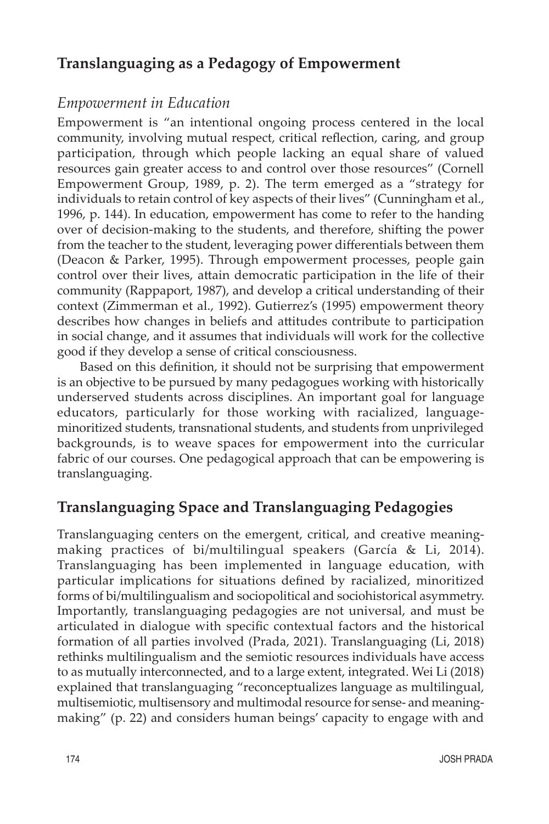## **Translanguaging as a Pedagogy of Empowerment**

### *Empowerment in Education*

Empowerment is "an intentional ongoing process centered in the local community, involving mutual respect, critical reflection, caring, and group participation, through which people lacking an equal share of valued resources gain greater access to and control over those resources" (Cornell Empowerment Group, 1989, p. 2). The term emerged as a "strategy for individuals to retain control of key aspects of their lives" (Cunningham et al., 1996, p. 144). In education, empowerment has come to refer to the handing over of decision-making to the students, and therefore, shifting the power from the teacher to the student, leveraging power differentials between them (Deacon & Parker, 1995). Through empowerment processes, people gain control over their lives, attain democratic participation in the life of their community (Rappaport, 1987), and develop a critical understanding of their context (Zimmerman et al., 1992). Gutierrez's (1995) empowerment theory describes how changes in beliefs and attitudes contribute to participation in social change, and it assumes that individuals will work for the collective good if they develop a sense of critical consciousness.

 Based on this definition, it should not be surprising that empowerment is an objective to be pursued by many pedagogues working with historically underserved students across disciplines. An important goal for language educators, particularly for those working with racialized, languageminoritized students, transnational students, and students from unprivileged backgrounds, is to weave spaces for empowerment into the curricular fabric of our courses. One pedagogical approach that can be empowering is translanguaging.

# **Translanguaging Space and Translanguaging Pedagogies**

Translanguaging centers on the emergent, critical, and creative meaningmaking practices of bi/multilingual speakers (García & Li, 2014). Translanguaging has been implemented in language education, with particular implications for situations defined by racialized, minoritized forms of bi/multilingualism and sociopolitical and sociohistorical asymmetry. Importantly, translanguaging pedagogies are not universal, and must be articulated in dialogue with specific contextual factors and the historical formation of all parties involved (Prada, 2021). Translanguaging (Li, 2018) rethinks multilingualism and the semiotic resources individuals have access to as mutually interconnected, and to a large extent, integrated. Wei Li (2018) explained that translanguaging "reconceptualizes language as multilingual, multisemiotic, multisensory and multimodal resource for sense- and meaningmaking" (p. 22) and considers human beings' capacity to engage with and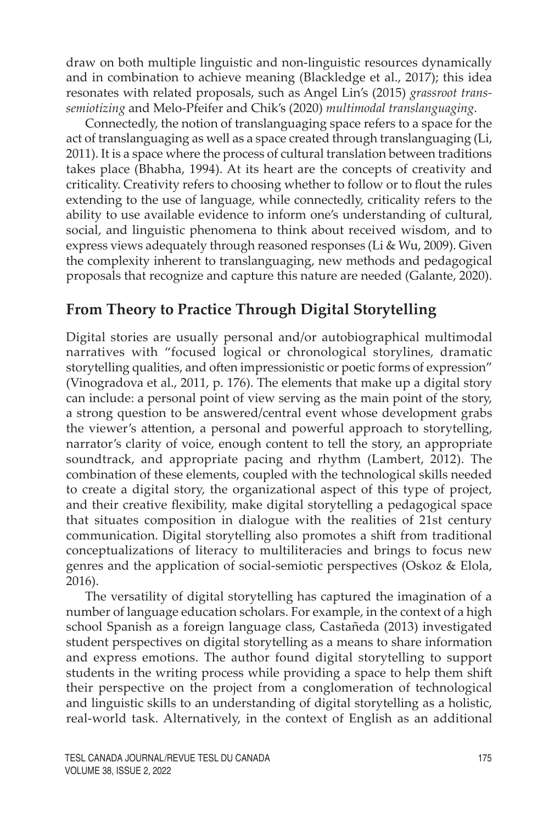draw on both multiple linguistic and non-linguistic resources dynamically and in combination to achieve meaning (Blackledge et al., 2017); this idea resonates with related proposals, such as Angel Lin's (2015) *grassroot transsemiotizing* and Melo-Pfeifer and Chik's (2020) *multimodal translanguaging*.

Connectedly, the notion of translanguaging space refers to a space for the act of translanguaging as well as a space created through translanguaging (Li, 2011). It is a space where the process of cultural translation between traditions takes place (Bhabha, 1994). At its heart are the concepts of creativity and criticality. Creativity refers to choosing whether to follow or to flout the rules extending to the use of language, while connectedly, criticality refers to the ability to use available evidence to inform one's understanding of cultural, social, and linguistic phenomena to think about received wisdom, and to express views adequately through reasoned responses (Li & Wu, 2009). Given the complexity inherent to translanguaging, new methods and pedagogical proposals that recognize and capture this nature are needed (Galante, 2020).

### **From Theory to Practice Through Digital Storytelling**

Digital stories are usually personal and/or autobiographical multimodal narratives with "focused logical or chronological storylines, dramatic storytelling qualities, and often impressionistic or poetic forms of expression" (Vinogradova et al., 2011, p. 176). The elements that make up a digital story can include: a personal point of view serving as the main point of the story, a strong question to be answered/central event whose development grabs the viewer's attention, a personal and powerful approach to storytelling, narrator's clarity of voice, enough content to tell the story, an appropriate soundtrack, and appropriate pacing and rhythm (Lambert, 2012). The combination of these elements, coupled with the technological skills needed to create a digital story, the organizational aspect of this type of project, and their creative flexibility, make digital storytelling a pedagogical space that situates composition in dialogue with the realities of 21st century communication. Digital storytelling also promotes a shift from traditional conceptualizations of literacy to multiliteracies and brings to focus new genres and the application of social-semiotic perspectives (Oskoz & Elola, 2016).

The versatility of digital storytelling has captured the imagination of a number of language education scholars. For example, in the context of a high school Spanish as a foreign language class, Castañeda (2013) investigated student perspectives on digital storytelling as a means to share information and express emotions. The author found digital storytelling to support students in the writing process while providing a space to help them shift their perspective on the project from a conglomeration of technological and linguistic skills to an understanding of digital storytelling as a holistic, real-world task. Alternatively, in the context of English as an additional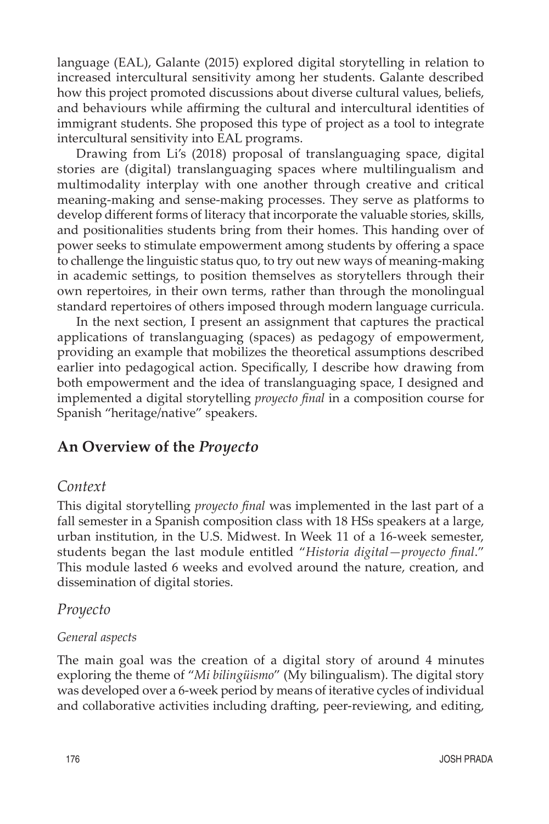language (EAL), Galante (2015) explored digital storytelling in relation to increased intercultural sensitivity among her students. Galante described how this project promoted discussions about diverse cultural values, beliefs, and behaviours while affirming the cultural and intercultural identities of immigrant students. She proposed this type of project as a tool to integrate intercultural sensitivity into EAL programs.

Drawing from Li's (2018) proposal of translanguaging space, digital stories are (digital) translanguaging spaces where multilingualism and multimodality interplay with one another through creative and critical meaning-making and sense-making processes. They serve as platforms to develop different forms of literacy that incorporate the valuable stories, skills, and positionalities students bring from their homes. This handing over of power seeks to stimulate empowerment among students by offering a space to challenge the linguistic status quo, to try out new ways of meaning-making in academic settings, to position themselves as storytellers through their own repertoires, in their own terms, rather than through the monolingual standard repertoires of others imposed through modern language curricula.

In the next section, I present an assignment that captures the practical applications of translanguaging (spaces) as pedagogy of empowerment, providing an example that mobilizes the theoretical assumptions described earlier into pedagogical action. Specifically, I describe how drawing from both empowerment and the idea of translanguaging space, I designed and implemented a digital storytelling *proyecto final* in a composition course for Spanish "heritage/native" speakers.

### **An Overview of the** *Proyecto*

#### *Context*

This digital storytelling *proyecto final* was implemented in the last part of a fall semester in a Spanish composition class with 18 HSs speakers at a large, urban institution, in the U.S. Midwest. In Week 11 of a 16-week semester, students began the last module entitled "*Historia digital—proyecto final*." This module lasted 6 weeks and evolved around the nature, creation, and dissemination of digital stories.

#### *Proyecto*

#### *General aspects*

The main goal was the creation of a digital story of around 4 minutes exploring the theme of "*Mi bilingüismo*" (My bilingualism). The digital story was developed over a 6-week period by means of iterative cycles of individual and collaborative activities including drafting, peer-reviewing, and editing,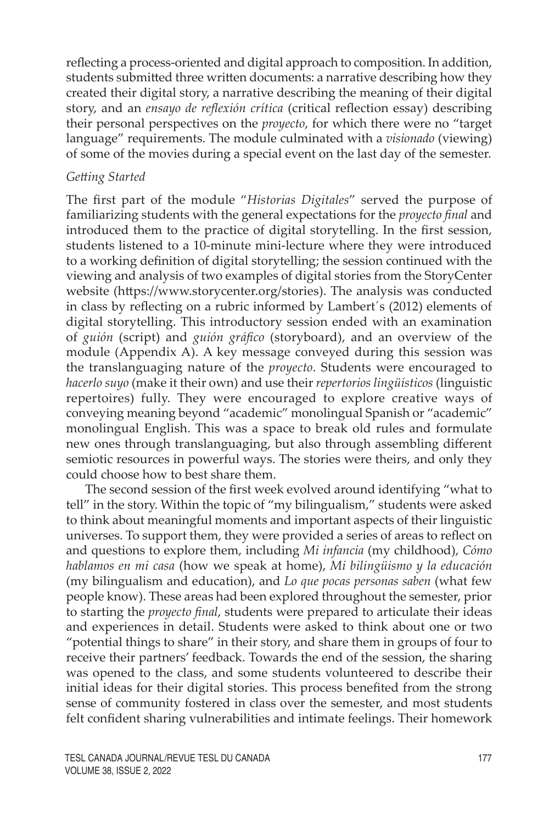reflecting a process-oriented and digital approach to composition. In addition, students submitted three written documents: a narrative describing how they created their digital story, a narrative describing the meaning of their digital story, and an *ensayo de reflexión crítica* (critical reflection essay) describing their personal perspectives on the *proyecto*, for which there were no "target language" requirements. The module culminated with a *visionado* (viewing) of some of the movies during a special event on the last day of the semester.

#### *Getting Started*

The first part of the module "*Historias Digitales*" served the purpose of familiarizing students with the general expectations for the *proyecto final* and introduced them to the practice of digital storytelling. In the first session, students listened to a 10-minute mini-lecture where they were introduced to a working definition of digital storytelling; the session continued with the viewing and analysis of two examples of digital stories from the StoryCenter website ([https://www.storycenter.org/stories\)](https://www.storycenter.org/stories). The analysis was conducted in class by reflecting on a rubric informed by Lambert´s (2012) elements of digital storytelling. This introductory session ended with an examination of *guión* (script) and *guión gráfico* (storyboard), and an overview of the module (Appendix A). A key message conveyed during this session was the translanguaging nature of the *proyecto*. Students were encouraged to *hacerlo suyo* (make it their own) and use their *repertorios lingüísticos* (linguistic repertoires) fully. They were encouraged to explore creative ways of conveying meaning beyond "academic" monolingual Spanish or "academic" monolingual English. This was a space to break old rules and formulate new ones through translanguaging, but also through assembling different semiotic resources in powerful ways. The stories were theirs, and only they could choose how to best share them.

The second session of the first week evolved around identifying "what to tell" in the story. Within the topic of "my bilingualism," students were asked to think about meaningful moments and important aspects of their linguistic universes. To support them, they were provided a series of areas to reflect on and questions to explore them, including *Mi infancia* (my childhood), *Cómo hablamos en mi casa* (how we speak at home), *Mi bilingüismo y la educación* (my bilingualism and education), and *Lo que pocas personas saben* (what few people know). These areas had been explored throughout the semester, prior to starting the *proyecto final*, students were prepared to articulate their ideas and experiences in detail. Students were asked to think about one or two "potential things to share" in their story, and share them in groups of four to receive their partners' feedback. Towards the end of the session, the sharing was opened to the class, and some students volunteered to describe their initial ideas for their digital stories. This process benefited from the strong sense of community fostered in class over the semester, and most students felt confident sharing vulnerabilities and intimate feelings. Their homework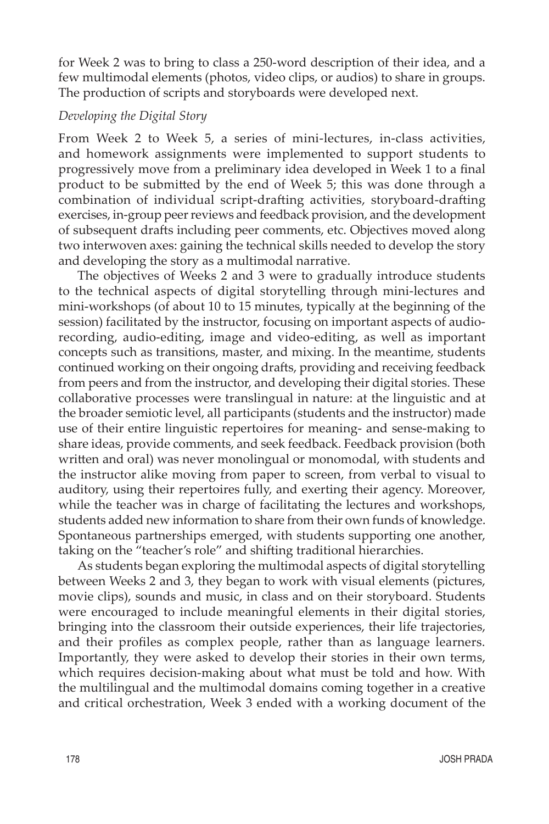for Week 2 was to bring to class a 250-word description of their idea, and a few multimodal elements (photos, video clips, or audios) to share in groups. The production of scripts and storyboards were developed next.

#### *Developing the Digital Story*

From Week 2 to Week 5, a series of mini-lectures, in-class activities, and homework assignments were implemented to support students to progressively move from a preliminary idea developed in Week 1 to a final product to be submitted by the end of Week 5; this was done through a combination of individual script-drafting activities, storyboard-drafting exercises, in-group peer reviews and feedback provision, and the development of subsequent drafts including peer comments, etc. Objectives moved along two interwoven axes: gaining the technical skills needed to develop the story and developing the story as a multimodal narrative.

The objectives of Weeks 2 and 3 were to gradually introduce students to the technical aspects of digital storytelling through mini-lectures and mini-workshops (of about 10 to 15 minutes, typically at the beginning of the session) facilitated by the instructor, focusing on important aspects of audiorecording, audio-editing, image and video-editing, as well as important concepts such as transitions, master, and mixing. In the meantime, students continued working on their ongoing drafts, providing and receiving feedback from peers and from the instructor, and developing their digital stories. These collaborative processes were translingual in nature: at the linguistic and at the broader semiotic level, all participants (students and the instructor) made use of their entire linguistic repertoires for meaning- and sense-making to share ideas, provide comments, and seek feedback. Feedback provision (both written and oral) was never monolingual or monomodal, with students and the instructor alike moving from paper to screen, from verbal to visual to auditory, using their repertoires fully, and exerting their agency. Moreover, while the teacher was in charge of facilitating the lectures and workshops, students added new information to share from their own funds of knowledge. Spontaneous partnerships emerged, with students supporting one another, taking on the "teacher's role" and shifting traditional hierarchies.

As students began exploring the multimodal aspects of digital storytelling between Weeks 2 and 3, they began to work with visual elements (pictures, movie clips), sounds and music, in class and on their storyboard. Students were encouraged to include meaningful elements in their digital stories, bringing into the classroom their outside experiences, their life trajectories, and their profiles as complex people, rather than as language learners. Importantly, they were asked to develop their stories in their own terms, which requires decision-making about what must be told and how. With the multilingual and the multimodal domains coming together in a creative and critical orchestration, Week 3 ended with a working document of the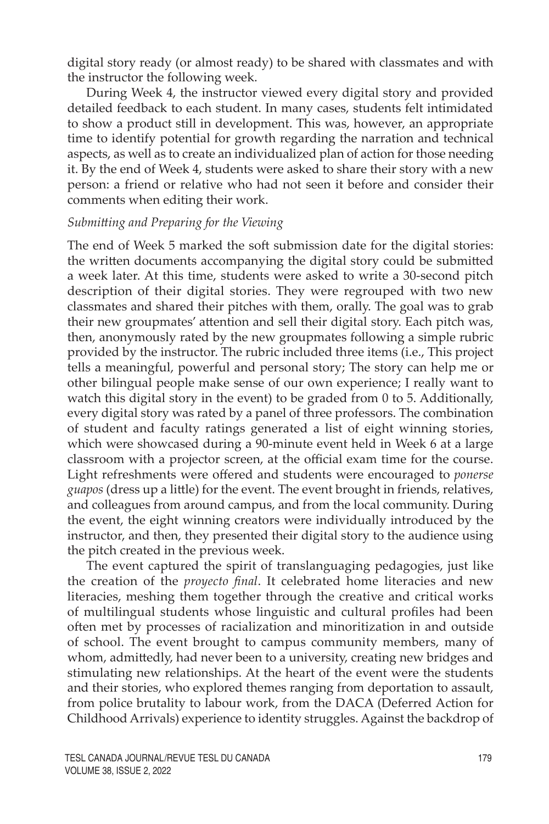digital story ready (or almost ready) to be shared with classmates and with the instructor the following week.

During Week 4, the instructor viewed every digital story and provided detailed feedback to each student. In many cases, students felt intimidated to show a product still in development. This was, however, an appropriate time to identify potential for growth regarding the narration and technical aspects, as well as to create an individualized plan of action for those needing it. By the end of Week 4, students were asked to share their story with a new person: a friend or relative who had not seen it before and consider their comments when editing their work.

#### *Submitting and Preparing for the Viewing*

The end of Week 5 marked the soft submission date for the digital stories: the written documents accompanying the digital story could be submitted a week later. At this time, students were asked to write a 30-second pitch description of their digital stories. They were regrouped with two new classmates and shared their pitches with them, orally. The goal was to grab their new groupmates' attention and sell their digital story. Each pitch was, then, anonymously rated by the new groupmates following a simple rubric provided by the instructor. The rubric included three items (i.e., This project tells a meaningful, powerful and personal story; The story can help me or other bilingual people make sense of our own experience; I really want to watch this digital story in the event) to be graded from 0 to 5. Additionally, every digital story was rated by a panel of three professors. The combination of student and faculty ratings generated a list of eight winning stories, which were showcased during a 90-minute event held in Week 6 at a large classroom with a projector screen, at the official exam time for the course. Light refreshments were offered and students were encouraged to *ponerse guapos* (dress up a little) for the event. The event brought in friends, relatives, and colleagues from around campus, and from the local community. During the event, the eight winning creators were individually introduced by the instructor, and then, they presented their digital story to the audience using the pitch created in the previous week.

The event captured the spirit of translanguaging pedagogies, just like the creation of the *proyecto final*. It celebrated home literacies and new literacies, meshing them together through the creative and critical works of multilingual students whose linguistic and cultural profiles had been often met by processes of racialization and minoritization in and outside of school. The event brought to campus community members, many of whom, admittedly, had never been to a university, creating new bridges and stimulating new relationships. At the heart of the event were the students and their stories, who explored themes ranging from deportation to assault, from police brutality to labour work, from the DACA (Deferred Action for Childhood Arrivals) experience to identity struggles. Against the backdrop of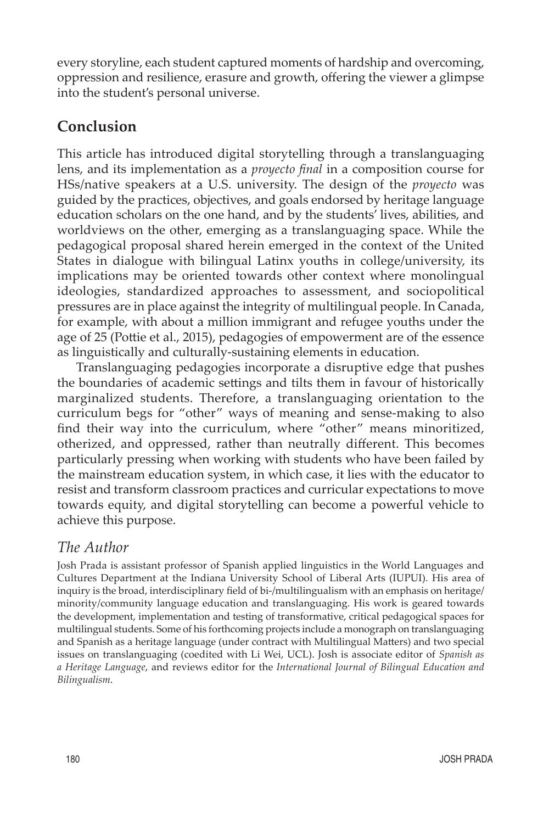every storyline, each student captured moments of hardship and overcoming, oppression and resilience, erasure and growth, offering the viewer a glimpse into the student's personal universe.

## **Conclusion**

This article has introduced digital storytelling through a translanguaging lens, and its implementation as a *proyecto final* in a composition course for HSs/native speakers at a U.S. university. The design of the *proyecto* was guided by the practices, objectives, and goals endorsed by heritage language education scholars on the one hand, and by the students' lives, abilities, and worldviews on the other, emerging as a translanguaging space. While the pedagogical proposal shared herein emerged in the context of the United States in dialogue with bilingual Latinx youths in college/university, its implications may be oriented towards other context where monolingual ideologies, standardized approaches to assessment, and sociopolitical pressures are in place against the integrity of multilingual people. In Canada, for example, with about a million immigrant and refugee youths under the age of 25 (Pottie et al., 2015), pedagogies of empowerment are of the essence as linguistically and culturally-sustaining elements in education.

Translanguaging pedagogies incorporate a disruptive edge that pushes the boundaries of academic settings and tilts them in favour of historically marginalized students. Therefore, a translanguaging orientation to the curriculum begs for "other" ways of meaning and sense-making to also find their way into the curriculum, where "other" means minoritized, otherized, and oppressed, rather than neutrally different. This becomes particularly pressing when working with students who have been failed by the mainstream education system, in which case, it lies with the educator to resist and transform classroom practices and curricular expectations to move towards equity, and digital storytelling can become a powerful vehicle to achieve this purpose.

### *The Author*

Josh Prada is assistant professor of Spanish applied linguistics in the World Languages and Cultures Department at the Indiana University School of Liberal Arts (IUPUI). His area of inquiry is the broad, interdisciplinary field of bi-/multilingualism with an emphasis on heritage/ minority/community language education and translanguaging. His work is geared towards the development, implementation and testing of transformative, critical pedagogical spaces for multilingual students. Some of his forthcoming projects include a monograph on translanguaging and Spanish as a heritage language (under contract with Multilingual Matters) and two special issues on translanguaging (coedited with Li Wei, UCL). Josh is associate editor of *Spanish as a Heritage Language*, and reviews editor for the *International Journal of Bilingual Education and Bilingualism*.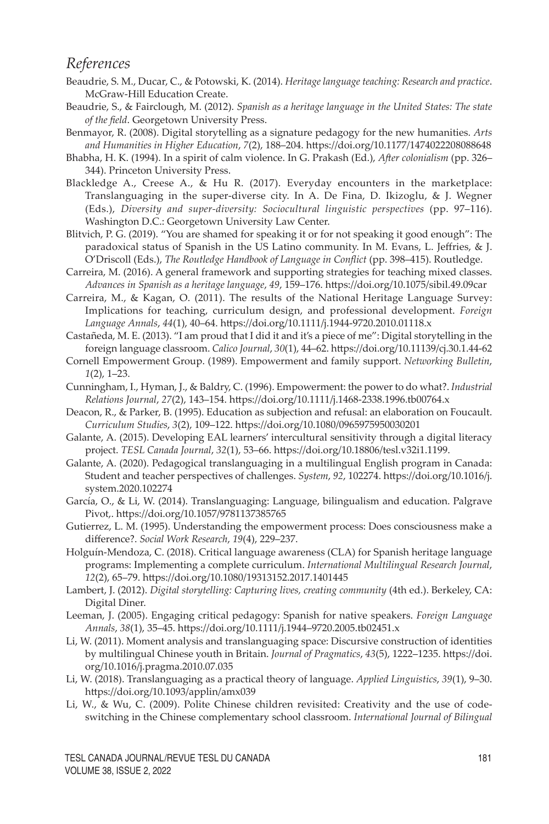#### *References*

- Beaudrie, S. M., Ducar, C., & Potowski, K. (2014). *Heritage language teaching: Research and practice*. McGraw-Hill Education Create.
- Beaudrie, S., & Fairclough, M. (2012). *Spanish as a heritage language in the United States: The state of the field*. Georgetown University Press.
- Benmayor, R. (2008). Digital storytelling as a signature pedagogy for the new humanities. *Arts and Humanities in Higher Education*, *7*(2), 188–204. [https://doi.org/10.1177/1474022208088648](https://doi.org/10.1177%2F1474022208088648)
- Bhabha, H. K. (1994). In a spirit of calm violence. In G. Prakash (Ed.), *After colonialism* (pp. 326– 344). Princeton University Press.
- Blackledge A., Creese A., & Hu R. (2017). Everyday encounters in the marketplace: Translanguaging in the super-diverse city. In A. De Fina, D. Ikizoglu, & J. Wegner (Eds.), *Diversity and super-diversity: Sociocultural linguistic perspectives* (pp. 97–116). Washington D.C.: Georgetown University Law Center.
- Blitvich, P. G. (2019). "You are shamed for speaking it or for not speaking it good enough": The paradoxical status of Spanish in the US Latino community. In M. Evans, L. Jeffries, & J. O'Driscoll (Eds.), *The Routledge Handbook of Language in Conflict* (pp. 398–415). Routledge.
- Carreira, M. (2016). A general framework and supporting strategies for teaching mixed classes. *Advances in Spanish as a heritage language*, *49*, 159–176.<https://doi.org/10.1075/sibil.49.09car>
- Carreira, M., & Kagan, O. (2011). The results of the National Heritage Language Survey: Implications for teaching, curriculum design, and professional development. *Foreign Language Annals*, *44*(1), 40–64.<https://doi.org/10.1111/j.1944-9720.2010.01118.x>
- Castañeda, M. E. (2013). "I am proud that I did it and it's a piece of me": Digital storytelling in the foreign language classroom. *Calico Journal*, *30*(1), 44–62. https://doi.org[/10.11139/cj.30.1.44-62](http://dx.doi.org/10.11139/cj.30.1.44-62)
- Cornell Empowerment Group. (1989). Empowerment and family support. *Networking Bulletin*, *1*(2), 1–23.
- Cunningham, I., Hyman, J., & Baldry, C. (1996). Empowerment: the power to do what?. *Industrial Relations Journal*, *27*(2), 143–154. <https://doi.org/10.1111/j.1468-2338.1996.tb00764.x>
- Deacon, R., & Parker, B. (1995). Education as subjection and refusal: an elaboration on Foucault. *Curriculum Studies*, *3*(2), 109–122.<https://doi.org/10.1080/0965975950030201>
- Galante, A. (2015). Developing EAL learners' intercultural sensitivity through a digital literacy project. *TESL Canada Journal*, *32*(1), 53–66. <https://doi.org/10.18806/tesl.v32i1.1199>.
- Galante, A. (2020). Pedagogical translanguaging in a multilingual English program in Canada: Student and teacher perspectives of challenges. *System*, *92*, 102274. [https://doi.org/10.1016/j.](https://doi.org/10.1016/j.system.2020.102274) [system.2020.102274](https://doi.org/10.1016/j.system.2020.102274)
- García, O., & Li, W. (2014). Translanguaging: Language, bilingualism and education. Palgrave Pivot,. https://doi.org/10.1057/9781137385765
- Gutierrez, L. M. (1995). Understanding the empowerment process: Does consciousness make a difference?. *Social Work Research*, *19*(4), 229–237.
- Holguín-Mendoza, C. (2018). Critical language awareness (CLA) for Spanish heritage language programs: Implementing a complete curriculum. *International Multilingual Research Journal*, *12*(2), 65–79.<https://doi.org/10.1080/19313152.2017.1401445>
- Lambert, J. (2012). *Digital storytelling: Capturing lives, creating community* (4th ed.). Berkeley, CA: Digital Diner.
- Leeman, J. (2005). Engaging critical pedagogy: Spanish for native speakers. *Foreign Language Annals*, *38*(1), 35–45. [https://doi.org/10.1111/j.1944–9720.2005.tb02451.x](https://doi.org/10.1111/j.1944-9720.2005.tb02451.x)
- Li, W. (2011). Moment analysis and translanguaging space: Discursive construction of identities by multilingual Chinese youth in Britain. *Journal of Pragmatics*, *43*(5), 1222–1235. [https://doi.](https://doi.org/10.1016/j.pragma.2010.07.035) [org/10.1016/j.pragma.2010.07.035](https://doi.org/10.1016/j.pragma.2010.07.035)
- Li, W. (2018). Translanguaging as a practical theory of language. *Applied Linguistics*, *39*(1), 9–30. <https://doi.org/10.1093/applin/amx039>
- Li, W., & Wu, C. (2009). Polite Chinese children revisited: Creativity and the use of codeswitching in the Chinese complementary school classroom. *International Journal of Bilingual*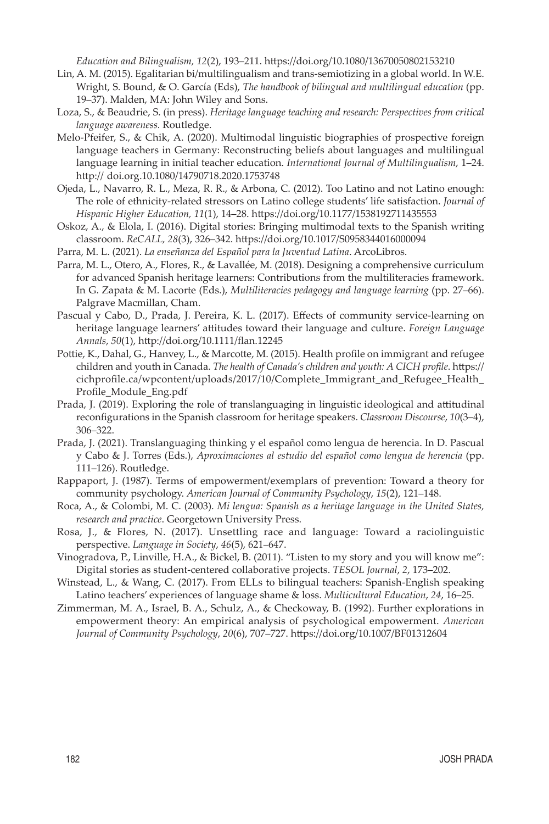*Education and Bilingualism, 12*(2), 193–211.<https://doi.org/10.1080/13670050802153210>

- Lin, A. M. (2015). Egalitarian bi/multilingualism and trans-semiotizing in a global world. In W.E. Wright, S. Bound, & O. García (Eds), *The handbook of bilingual and multilingual education* (pp. 19–37). Malden, MA: John Wiley and Sons.
- Loza, S., & Beaudrie, S. (in press). *Heritage language teaching and research: Perspectives from critical language awareness.* Routledge.
- Melo-Pfeifer, S., & Chik, A. (2020). Multimodal linguistic biographies of prospective foreign language teachers in Germany: Reconstructing beliefs about languages and multilingual language learning in initial teacher education. *International Journal of Multilingualism*, 1–24. http:// doi.org.[10.1080/14790718.2020.1753748](http://dx.doi.org/10.1080/14790718.2020.1753748)
- Ojeda, L., Navarro, R. L., Meza, R. R., & Arbona, C. (2012). Too Latino and not Latino enough: The role of ethnicity-related stressors on Latino college students' life satisfaction. *Journal of Hispanic Higher Education, 11*(1), 14–28. https://doi.org[/10.1177/1538192711435553](http://dx.doi.org/10.1177/1538192711435553)
- Oskoz, A., & Elola, I. (2016). Digital stories: Bringing multimodal texts to the Spanish writing classroom. *ReCALL, 28*(3), 326–342. <https://doi.org/10.1017/S0958344016000094>
- Parra, M. L. (2021). *La enseñanza del Español para la Juventud Latina*. ArcoLibros.
- Parra, M. L., Otero, A., Flores, R., & Lavallée, M. (2018). Designing a comprehensive curriculum for advanced Spanish heritage learners: Contributions from the multiliteracies framework. In G. Zapata & M. Lacorte (Eds.), *Multiliteracies pedagogy and language learning* (pp. 27–66). Palgrave Macmillan, Cham.
- Pascual y Cabo, D., Prada, J. Pereira, K. L. (2017). Effects of community service-learning on heritage language learners' attitudes toward their language and culture. *Foreign Language Annals*, *50*(1), http://doi.org/10.1111/flan.12245
- Pottie, K., Dahal, G., Hanvey, L., & Marcotte, M. (2015). Health profile on immigrant and refugee children and youth in Canada. *The health of Canada's children and youth: A CICH profile*. https:// cichprofile.ca/wpcontent/uploads/2017/10/Complete\_Immigrant\_and\_Refugee\_Health\_ Profile\_Module\_Eng.pdf
- Prada, J. (2019). Exploring the role of translanguaging in linguistic ideological and attitudinal reconfigurations in the Spanish classroom for heritage speakers. *Classroom Discourse*, *10*(3–4), 306–322.
- Prada, J. (2021). Translanguaging thinking y el español como lengua de herencia. In D. Pascual y Cabo & J. Torres (Eds.), *Aproximaciones al estudio del español como lengua de herencia* (pp. 111–126). Routledge.
- Rappaport, J. (1987). Terms of empowerment/exemplars of prevention: Toward a theory for community psychology. *American Journal of Community Psychology*, *15*(2), 121–148.
- Roca, A., & Colombi, M. C. (2003). *Mi lengua: Spanish as a heritage language in the United States, research and practice*. Georgetown University Press.

Rosa, J., & Flores, N. (2017). Unsettling race and language: Toward a raciolinguistic perspective. *Language in Society*, *46*(5), 621–647.

- Vinogradova, P., Linville, H.A., & Bickel, B. (2011). "Listen to my story and you will know me": Digital stories as student-centered collaborative projects. *TESOL Journal*, *2*, 173–202.
- Winstead, L., & Wang, C. (2017). From ELLs to bilingual teachers: Spanish-English speaking Latino teachers' experiences of language shame & loss. *Multicultural Education*, *24*, 16–25.

Zimmerman, M. A., Israel, B. A., Schulz, A., & Checkoway, B. (1992). Further explorations in empowerment theory: An empirical analysis of psychological empowerment. *American Journal of Community Psychology*, *20*(6), 707–727. <https://doi.org/10.1007/BF01312604>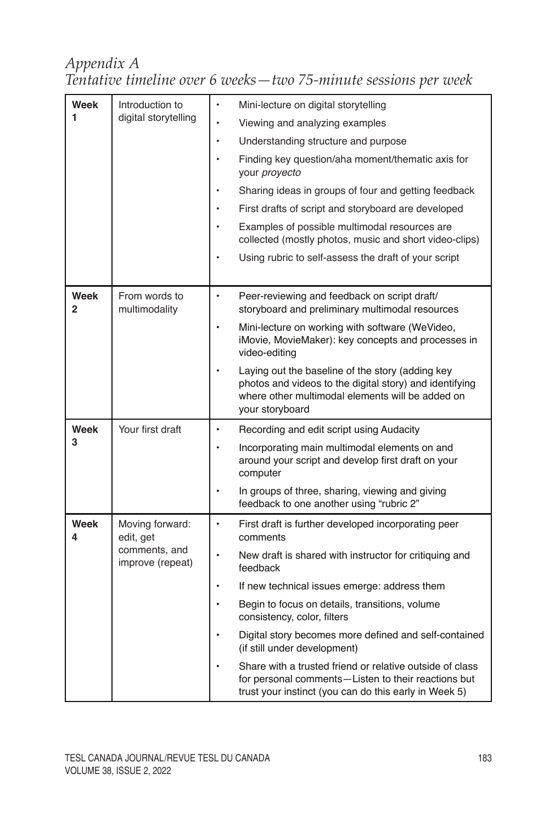### *Appendix A Tentative timeline over 6 weeks—two 75-minute sessions per week*

| Week<br>1        | Introduction to<br>digital storytelling                           | Mini-lecture on digital storytelling                                                                                                                                               |
|------------------|-------------------------------------------------------------------|------------------------------------------------------------------------------------------------------------------------------------------------------------------------------------|
|                  |                                                                   | Viewing and analyzing examples                                                                                                                                                     |
|                  |                                                                   | Understanding structure and purpose                                                                                                                                                |
|                  |                                                                   | Finding key question/aha moment/thematic axis for<br>your proyecto                                                                                                                 |
|                  |                                                                   | Sharing ideas in groups of four and getting feedback                                                                                                                               |
|                  |                                                                   | First drafts of script and storyboard are developed                                                                                                                                |
|                  |                                                                   | Examples of possible multimodal resources are<br>collected (mostly photos, music and short video-clips)                                                                            |
|                  |                                                                   | Using rubric to self-assess the draft of your script                                                                                                                               |
| Week<br>2        | From words to<br>multimodality                                    | $\bullet$<br>Peer-reviewing and feedback on script draft/<br>storyboard and preliminary multimodal resources                                                                       |
|                  |                                                                   | Mini-lecture on working with software (WeVideo,<br>iMovie, MovieMaker): key concepts and processes in<br>video-editing                                                             |
|                  |                                                                   | Laying out the baseline of the story (adding key<br>photos and videos to the digital story) and identifying<br>where other multimodal elements will be added on<br>your storyboard |
| Week             | Your first draft                                                  | Recording and edit script using Audacity                                                                                                                                           |
| 3                |                                                                   | Incorporating main multimodal elements on and<br>around your script and develop first draft on your<br>computer                                                                    |
|                  |                                                                   | In groups of three, sharing, viewing and giving<br>feedback to one another using "rubric 2"                                                                                        |
| <b>Week</b><br>4 | Moving forward:<br>edit, get<br>comments, and<br>improve (repeat) | First draft is further developed incorporating peer<br>comments                                                                                                                    |
|                  |                                                                   | New draft is shared with instructor for critiquing and<br>feedback                                                                                                                 |
|                  |                                                                   | If new technical issues emerge: address them                                                                                                                                       |
|                  |                                                                   | Begin to focus on details, transitions, volume<br>consistency, color, filters                                                                                                      |
|                  |                                                                   | Digital story becomes more defined and self-contained<br>(if still under development)                                                                                              |
|                  |                                                                   | Share with a trusted friend or relative outside of class<br>for personal comments-Listen to their reactions but<br>trust your instinct (you can do this early in Week 5)           |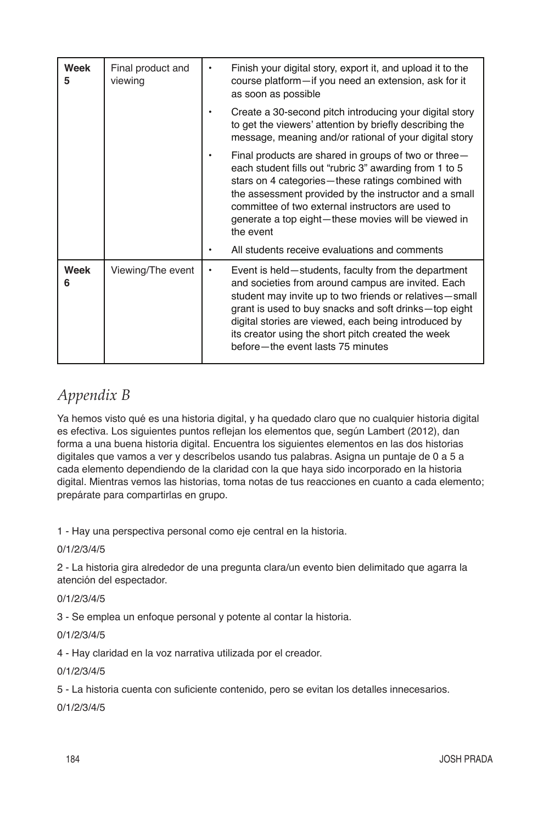| Week<br>5 | Final product and<br>viewing | Finish your digital story, export it, and upload it to the<br>course platform-if you need an extension, ask for it<br>as soon as possible                                                                                                                                                                                                                                        |
|-----------|------------------------------|----------------------------------------------------------------------------------------------------------------------------------------------------------------------------------------------------------------------------------------------------------------------------------------------------------------------------------------------------------------------------------|
|           |                              | Create a 30-second pitch introducing your digital story<br>to get the viewers' attention by briefly describing the<br>message, meaning and/or rational of your digital story                                                                                                                                                                                                     |
|           |                              | Final products are shared in groups of two or three $-$<br>each student fills out "rubric 3" awarding from 1 to 5<br>stars on 4 categories—these ratings combined with<br>the assessment provided by the instructor and a small<br>committee of two external instructors are used to<br>generate a top eight-these movies will be viewed in<br>the event                         |
|           |                              | All students receive evaluations and comments                                                                                                                                                                                                                                                                                                                                    |
| Week      | Viewing/The event            | Event is held—students, faculty from the department<br>and societies from around campus are invited. Each<br>student may invite up to two friends or relatives-small<br>grant is used to buy snacks and soft drinks-top eight<br>digital stories are viewed, each being introduced by<br>its creator using the short pitch created the week<br>before-the event lasts 75 minutes |

# *Appendix B*

Ya hemos visto qué es una historia digital, y ha quedado claro que no cualquier historia digital es efectiva. Los siguientes puntos reflejan los elementos que, según Lambert (2012), dan forma a una buena historia digital. Encuentra los siguientes elementos en las dos historias digitales que vamos a ver y descríbelos usando tus palabras. Asigna un puntaje de 0 a 5 a cada elemento dependiendo de la claridad con la que haya sido incorporado en la historia digital. Mientras vemos las historias, toma notas de tus reacciones en cuanto a cada elemento; prepárate para compartirlas en grupo.

1 - Hay una perspectiva personal como eje central en la historia.

0/1/2/3/4/5

2 - La historia gira alrededor de una pregunta clara/un evento bien delimitado que agarra la atención del espectador.

0/1/2/3/4/5

3 - Se emplea un enfoque personal y potente al contar la historia.

0/1/2/3/4/5

4 - Hay claridad en la voz narrativa utilizada por el creador.

0/1/2/3/4/5

5 - La historia cuenta con suficiente contenido, pero se evitan los detalles innecesarios.

0/1/2/3/4/5